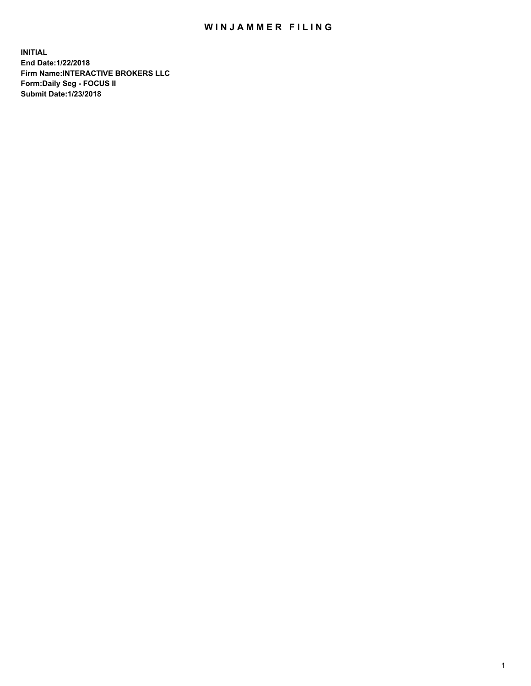## WIN JAMMER FILING

**INITIAL End Date:1/22/2018 Firm Name:INTERACTIVE BROKERS LLC Form:Daily Seg - FOCUS II Submit Date:1/23/2018**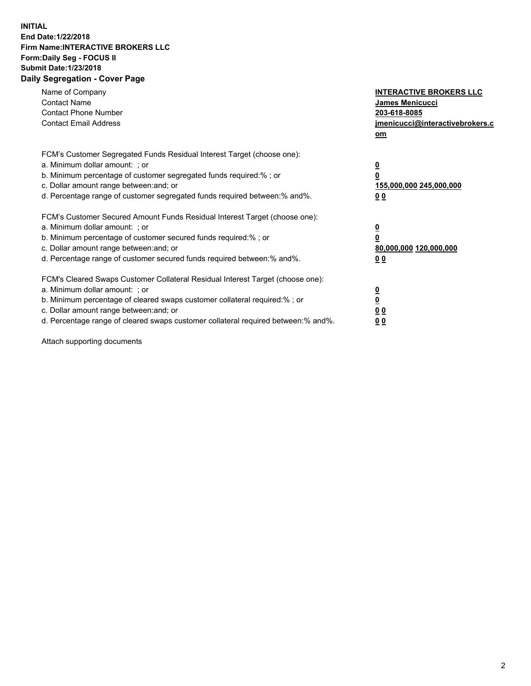## **INITIAL End Date:1/22/2018 Firm Name:INTERACTIVE BROKERS LLC Form:Daily Seg - FOCUS II Submit Date:1/23/2018 Daily Segregation - Cover Page**

| Name of Company<br><b>Contact Name</b><br><b>Contact Phone Number</b><br><b>Contact Email Address</b>                                                                                                                                                                                                                          | <b>INTERACTIVE BROKERS LLC</b><br>James Menicucci<br>203-618-8085<br>jmenicucci@interactivebrokers.c<br>om |
|--------------------------------------------------------------------------------------------------------------------------------------------------------------------------------------------------------------------------------------------------------------------------------------------------------------------------------|------------------------------------------------------------------------------------------------------------|
| FCM's Customer Segregated Funds Residual Interest Target (choose one):<br>a. Minimum dollar amount: ; or<br>b. Minimum percentage of customer segregated funds required:%; or<br>c. Dollar amount range between: and; or<br>d. Percentage range of customer segregated funds required between:% and%.                          | $\overline{\mathbf{0}}$<br>0<br>155,000,000 245,000,000<br>0 <sub>0</sub>                                  |
| FCM's Customer Secured Amount Funds Residual Interest Target (choose one):<br>a. Minimum dollar amount: ; or<br>b. Minimum percentage of customer secured funds required:%; or<br>c. Dollar amount range between: and; or<br>d. Percentage range of customer secured funds required between:% and%.                            | $\overline{\mathbf{0}}$<br>$\overline{\mathbf{0}}$<br>80,000,000 120,000,000<br>00                         |
| FCM's Cleared Swaps Customer Collateral Residual Interest Target (choose one):<br>a. Minimum dollar amount: ; or<br>b. Minimum percentage of cleared swaps customer collateral required:% ; or<br>c. Dollar amount range between: and; or<br>d. Percentage range of cleared swaps customer collateral required between:% and%. | $\overline{\mathbf{0}}$<br>$\overline{\mathbf{0}}$<br>0 <sub>0</sub><br><u>00</u>                          |

Attach supporting documents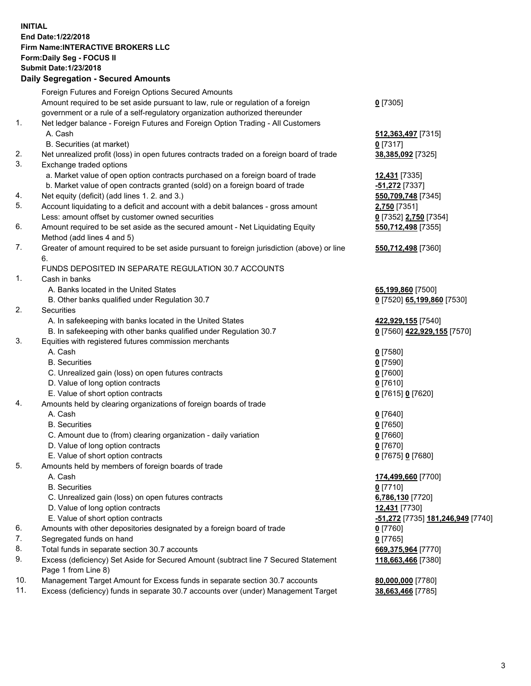## **INITIAL End Date:1/22/2018 Firm Name:INTERACTIVE BROKERS LLC Form:Daily Seg - FOCUS II Submit Date:1/23/2018 Daily Segregation - Secured Amounts**

|     | Daily Jegregation - Jeculed Aniounts                                                        |                                   |
|-----|---------------------------------------------------------------------------------------------|-----------------------------------|
|     | Foreign Futures and Foreign Options Secured Amounts                                         |                                   |
|     | Amount required to be set aside pursuant to law, rule or regulation of a foreign            | $0$ [7305]                        |
|     | government or a rule of a self-regulatory organization authorized thereunder                |                                   |
| 1.  | Net ledger balance - Foreign Futures and Foreign Option Trading - All Customers             |                                   |
|     | A. Cash                                                                                     | 512, 363, 497 [7315]              |
|     | B. Securities (at market)                                                                   | $0$ [7317]                        |
| 2.  | Net unrealized profit (loss) in open futures contracts traded on a foreign board of trade   | 38,385,092 [7325]                 |
| 3.  | Exchange traded options                                                                     |                                   |
|     | a. Market value of open option contracts purchased on a foreign board of trade              | 12,431 [7335]                     |
|     | b. Market value of open contracts granted (sold) on a foreign board of trade                | -51,272 [7337]                    |
| 4.  | Net equity (deficit) (add lines 1.2. and 3.)                                                | 550,709,748 [7345]                |
| 5.  | Account liquidating to a deficit and account with a debit balances - gross amount           | 2,750 [7351]                      |
|     | Less: amount offset by customer owned securities                                            | 0 [7352] 2,750 [7354]             |
| 6.  |                                                                                             |                                   |
|     | Amount required to be set aside as the secured amount - Net Liquidating Equity              | 550,712,498 [7355]                |
|     | Method (add lines 4 and 5)                                                                  |                                   |
| 7.  | Greater of amount required to be set aside pursuant to foreign jurisdiction (above) or line | 550,712,498 [7360]                |
|     | 6.                                                                                          |                                   |
|     | FUNDS DEPOSITED IN SEPARATE REGULATION 30.7 ACCOUNTS                                        |                                   |
| 1.  | Cash in banks                                                                               |                                   |
|     | A. Banks located in the United States                                                       | 65,199,860 [7500]                 |
|     | B. Other banks qualified under Regulation 30.7                                              | 0 [7520] 65,199,860 [7530]        |
| 2.  | Securities                                                                                  |                                   |
|     | A. In safekeeping with banks located in the United States                                   | 422,929,155 [7540]                |
|     | B. In safekeeping with other banks qualified under Regulation 30.7                          | 0 [7560] 422,929,155 [7570]       |
| 3.  | Equities with registered futures commission merchants                                       |                                   |
|     | A. Cash                                                                                     | $0$ [7580]                        |
|     | <b>B.</b> Securities                                                                        | $0$ [7590]                        |
|     | C. Unrealized gain (loss) on open futures contracts                                         | $0$ [7600]                        |
|     | D. Value of long option contracts                                                           | $0$ [7610]                        |
|     | E. Value of short option contracts                                                          | 0 [7615] 0 [7620]                 |
| 4.  | Amounts held by clearing organizations of foreign boards of trade                           |                                   |
|     | A. Cash                                                                                     | $0$ [7640]                        |
|     | <b>B.</b> Securities                                                                        | $0$ [7650]                        |
|     | C. Amount due to (from) clearing organization - daily variation                             | $0$ [7660]                        |
|     | D. Value of long option contracts                                                           | $0$ [7670]                        |
|     | E. Value of short option contracts                                                          | 0 [7675] 0 [7680]                 |
| 5.  | Amounts held by members of foreign boards of trade                                          |                                   |
|     | A. Cash                                                                                     | 174,499,660 [7700]                |
|     | <b>B.</b> Securities                                                                        | $0$ [7710]                        |
|     | C. Unrealized gain (loss) on open futures contracts                                         | 6,786,130 [7720]                  |
|     | D. Value of long option contracts                                                           | 12,431 [7730]                     |
|     | E. Value of short option contracts                                                          | -51,272 [7735] 181,246,949 [7740] |
| 6.  | Amounts with other depositories designated by a foreign board of trade                      | 0 [7760]                          |
| 7.  | Segregated funds on hand                                                                    | $0$ [7765]                        |
| 8.  | Total funds in separate section 30.7 accounts                                               | 669,375,964 [7770]                |
| 9.  | Excess (deficiency) Set Aside for Secured Amount (subtract line 7 Secured Statement         | 118,663,466 [7380]                |
|     | Page 1 from Line 8)                                                                         |                                   |
| 10. | Management Target Amount for Excess funds in separate section 30.7 accounts                 | 80,000,000 [7780]                 |
| 11. | Excess (deficiency) funds in separate 30.7 accounts over (under) Management Target          | 38,663,466 [7785]                 |
|     |                                                                                             |                                   |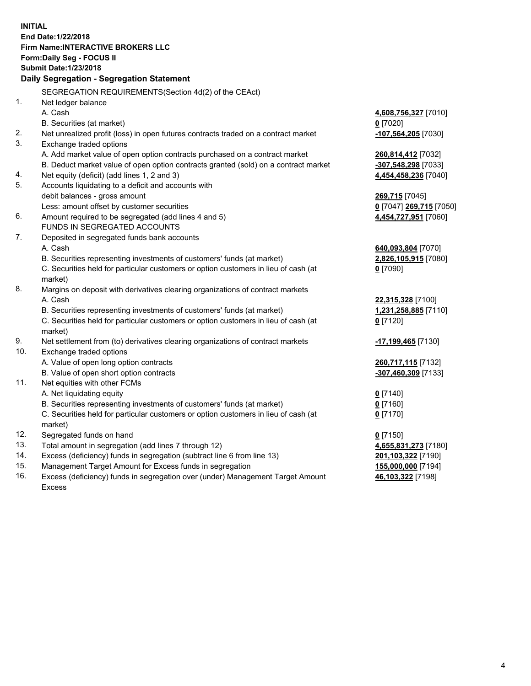**INITIAL End Date:1/22/2018 Firm Name:INTERACTIVE BROKERS LLC Form:Daily Seg - FOCUS II Submit Date:1/23/2018 Daily Segregation - Segregation Statement** SEGREGATION REQUIREMENTS(Section 4d(2) of the CEAct) 1. Net ledger balance A. Cash **4,608,756,327** [7010] B. Securities (at market) **0** [7020] 2. Net unrealized profit (loss) in open futures contracts traded on a contract market **-107,564,205** [7030] 3. Exchange traded options A. Add market value of open option contracts purchased on a contract market **260,814,412** [7032] B. Deduct market value of open option contracts granted (sold) on a contract market **-307,548,298** [7033] 4. Net equity (deficit) (add lines 1, 2 and 3) **4,454,458,236** [7040] 5. Accounts liquidating to a deficit and accounts with debit balances - gross amount **269,715** [7045] Less: amount offset by customer securities **0** [7047] **269,715** [7050] 6. Amount required to be segregated (add lines 4 and 5) **4,454,727,951** [7060] FUNDS IN SEGREGATED ACCOUNTS 7. Deposited in segregated funds bank accounts A. Cash **640,093,804** [7070] B. Securities representing investments of customers' funds (at market) **2,826,105,915** [7080] C. Securities held for particular customers or option customers in lieu of cash (at market) **0** [7090] 8. Margins on deposit with derivatives clearing organizations of contract markets A. Cash **22,315,328** [7100] B. Securities representing investments of customers' funds (at market) **1,231,258,885** [7110] C. Securities held for particular customers or option customers in lieu of cash (at market) **0** [7120] 9. Net settlement from (to) derivatives clearing organizations of contract markets **-17,199,465** [7130] 10. Exchange traded options A. Value of open long option contracts **260,717,115** [7132] B. Value of open short option contracts **-307,460,309** [7133] 11. Net equities with other FCMs A. Net liquidating equity **0** [7140] B. Securities representing investments of customers' funds (at market) **0** [7160] C. Securities held for particular customers or option customers in lieu of cash (at market) **0** [7170] 12. Segregated funds on hand **0** [7150] 13. Total amount in segregation (add lines 7 through 12) **4,655,831,273** [7180] 14. Excess (deficiency) funds in segregation (subtract line 6 from line 13) **201,103,322** [7190] 15. Management Target Amount for Excess funds in segregation **155,000,000** [7194] **46,103,322** [7198]

16. Excess (deficiency) funds in segregation over (under) Management Target Amount Excess